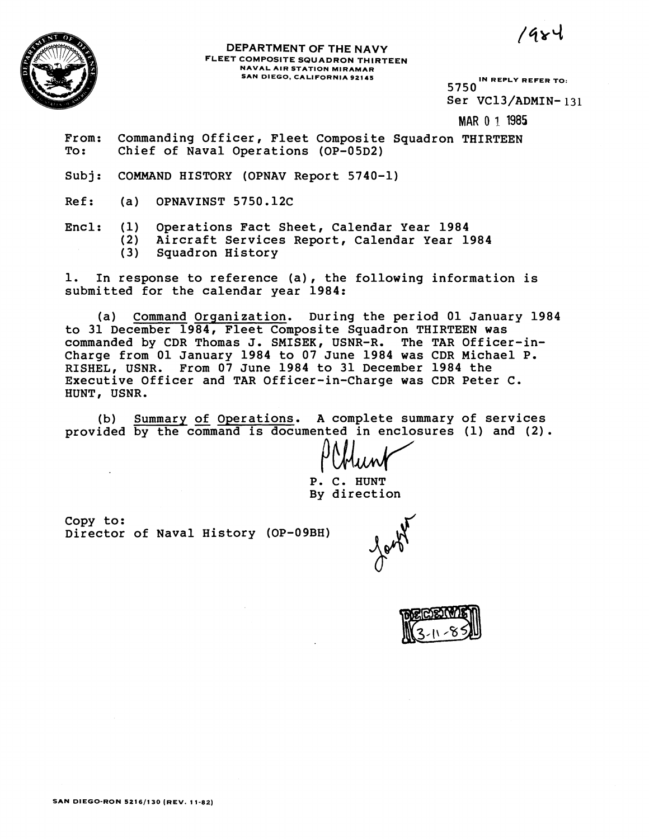$1484$ 



## **DEPARTMENT OF THE NAVY FLEET COMPOSITE SQUADRON THIRTEEN NAVAL AIR STATION MIRAMAR SAN DIEGO, CALIFORNIA 92145 IN REPLY REFER TO:**

5750 Ser VC13/ADMIN- 131

**MAR 0 7. 1985** 

From: Commanding Officer, Fleet Composite Squadron THIRTEEN To : Chief of Naval Operations (OP-05D2)

Subj: COMMAND HISTORY (OPNAV Report 5740-1)

Ref: (a) OPNAVINST 5750.12C

- 
- Encl: (1) Operations Fact Sheet, Calendar Year 1984
	- (2) Aircraft Services Report, Calendar Year 1984
		- Squadron History

1. In response to reference (a), the following information is submitted for the calendar year 1984:

(a) Command Orqanization. During the period 01 January 1984 to 31 December 1984, Fleet Composite Squadron THIRTEEN was commanded by CDR Thomas J. SMISEK, USNR-R. The TAR Officer-in-Charge from 01 January 1984 to 07 June 1984 was CDR Michael P. RISHEL, USNR. From 07 June 1984 to 31 December 1984 the Executive Officer and TAR Officer-in-Charge was CDR Peter C. HUNT, USNR.

(b) Summary of Operations. A complete summary of services provided by the command is documented in enclosures (1) and (2).

P. C. HUNT By direction

Copy to: Director of Naval History (OP-09BH)

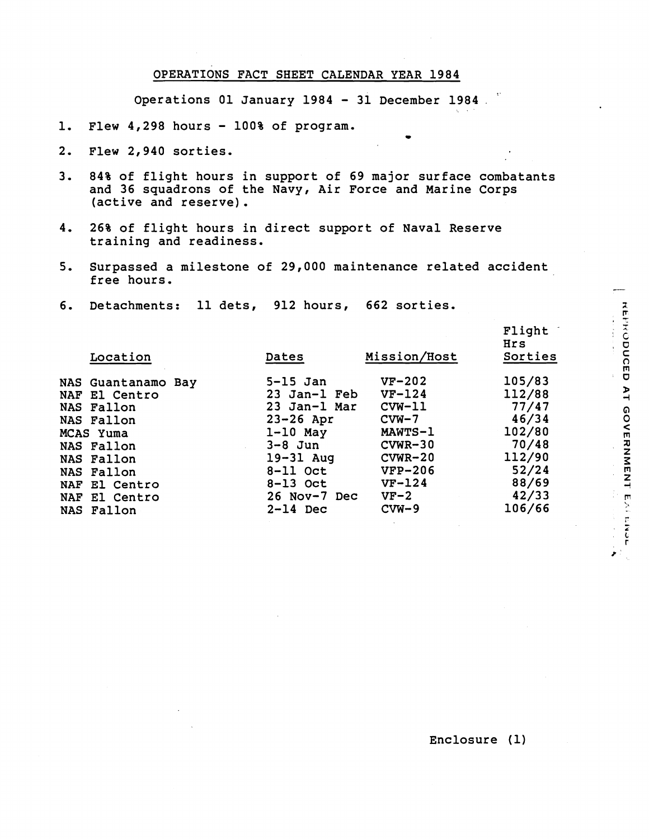## **OPERATIONS FACT SHEET CALENDAR YEAR 1984**

Operations 01 January 1984 - 31 December 1984.

- **1. Flew 4,298 hours 100% of program.** -
- **2. Flew 2,940 sorties.**
- **3. 84% of flight hours in support of 69 major surface combatants and 36 squadrons of the Navy, Air Force and Marine Corps (active and reserve).**
- **4. 26% of flight hours in direct support of Naval Reserve training and readiness.**
- **5. Surpassed a milestone of 29,000 maintenance related accident free hours.**
- **6. Detachments: 11 dets, 912 hours, 662 sorties.**

| Location           | Dates         | Mission/Host   | Flight<br>Hrs<br>Sorties |
|--------------------|---------------|----------------|--------------------------|
| NAS Guantanamo Bay | $5-15$ Jan    | $VF-202$       | 105/83                   |
| NAF El Centro      | 23 Jan-l Feb  | $VF-124$       | 112/88                   |
| NAS Fallon         | 23 Jan-l Mar  | $CVM-11$       | 77/47                    |
| NAS Fallon         | $23 - 26$ Apr | $CVM-7$        | 46/34                    |
| MCAS Yuma          | $1-10$ May    | <b>MAWTS-1</b> | 102/80                   |
| NAS Fallon         | $3-8$ Jun     | $CVMR-30$      | 70/48                    |
| NAS Fallon         | $19-31$ Aug   | $CVMR-20$      | 112/90                   |
| NAS Fallon         | $8-11$ Oct    | $VFP-206$      | 52/24                    |
| NAF El Centro      | $8-13$ Oct    | $VF-124$       | 88/69                    |
| NAF El Centro      | 26 Nov-7 Dec  | $VF-2$         | 42/33                    |
| NAS Fallon         | $2-14$ Dec    | $CVM-9$        | 106/66                   |
|                    |               |                |                          |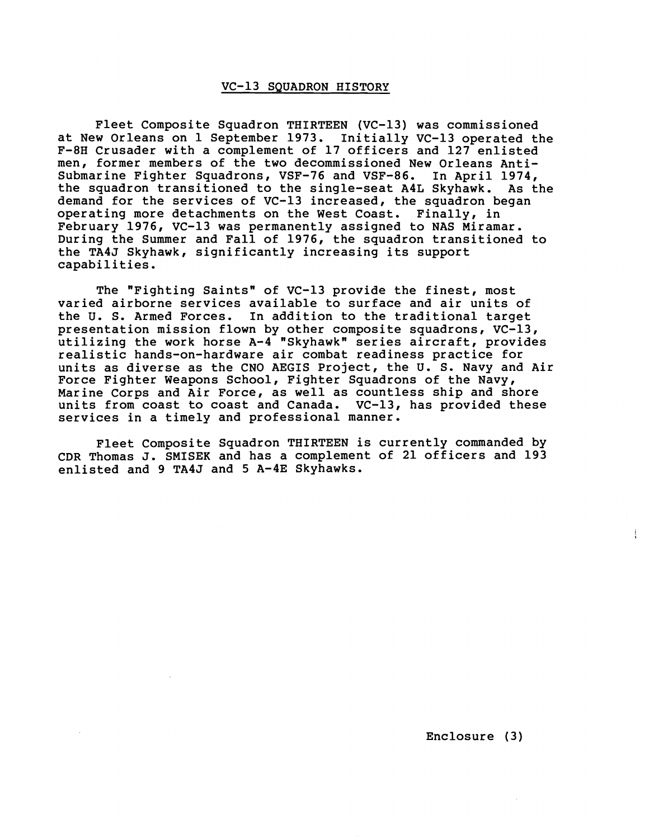## VC-13 SQUADRON HISTORY

Fleet Composite Squadron THIRTEEN (VC-13) was commissioned at New Orleans on 1 September 1973. Initially VC-13 operated the F-8H Crusader with a complement of 17 officers and 127 enlisted men, former members of the two decommissioned New Orleans Antisubmarine Fighter Squadrons, VSF-76 and VSF-86. In April 1974, the squadron transitioned to the single-seat A4L Skyhawk. As the demand for the services of VC-13 increased, the squadron began operating more detachments on the West Coast. Finally, in February 1976, VC-13 was permanently assigned to NAS Miramar. During the Summer and Fall of 1976, the squadron transitioned to the TA4J Skyhawk, significantly increasing its support capabilities.

The "Fighting Saints" of VC-13 provide the finest, most varied airborne services available to surface and air units of the U. S. Armed Forces. In addition to the traditional target presentation mission flown by other composite squadrons, VC-13, utilizing the work horse A-4 "Skyhawk" series aircraft, provides realistic hands-on-hardware air combat readiness practice for units as diverse as the CNO AEGIS Project, the U. S. Navy and Air Force Fighter Weapons School, Fighter Squadrons of the Navy, Marine Corps and Air Force, as well as countless ship and shore units from coast to coast and Canada. VC-13, has provided these services in a timely and professional manner.

Fleet Composite Squadron THIRTEEN is currently commanded by CDR Thomas J. SMISEK and has a complement of 21 officers and 193 enlisted and 9 TA4J and 5 A-4E Skyhawks.

Ť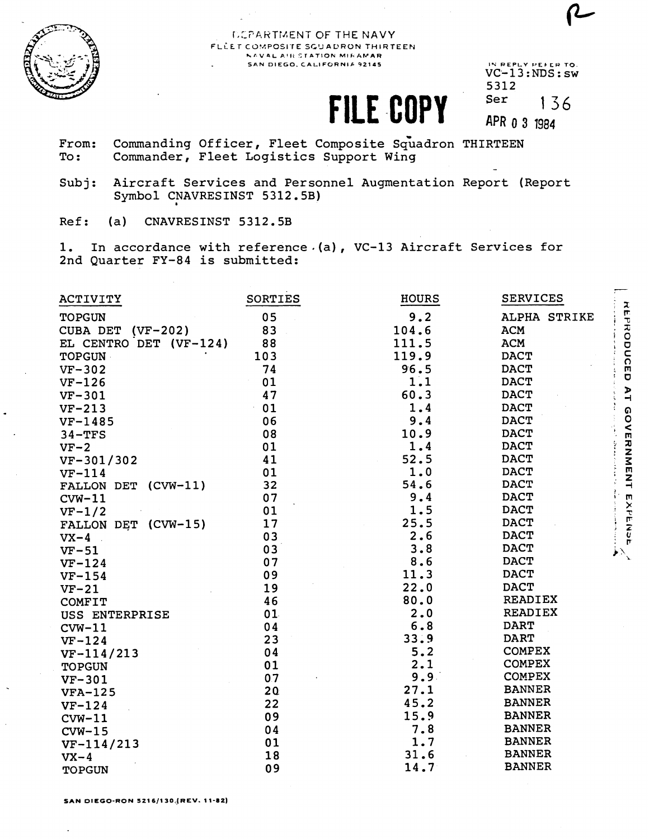

## DEPARTMENT OF THE NAVY FLLET COMPOSITE SQUADRON THIRTEEN NAVAL AIR STATION MIRAMAR SAN DIEGO, CALIFORNIA 92145

FILE COPY

IN REPLY PELER TO. 5312 Ser 136 APR 0 3 1984

- Commanding Officer, Fleet Composite Squadron THIRTEEN From: Commander, Fleet Logistics Support Wing To:
- Aircraft Services and Personnel Augmentation Report (Report  $Subj:$ Symbol CNAVRESINST 5312.5B)
- Ref: CNAVRESINST 5312.5B  $(a)$

1. In accordance with reference  $(a)$ , VC-13 Aircraft Services for 2nd Quarter FY-84 is submitted:

| ACTIVITY               | SORTIES         | <b>HOURS</b> | <b>SERVICES</b> |
|------------------------|-----------------|--------------|-----------------|
| <b>TOPGUN</b>          | 05              | 9.2          | ALPHA STRIKE    |
| CUBA DET<br>$(VF-202)$ | 83              | 104.6        | <b>ACM</b>      |
| EL CENTRO DET (VF-124) | 88              | 111.5        | <b>ACM</b>      |
| TOPGUN                 | 103             | 119.9        | <b>DACT</b>     |
| $VF-302$               | 74              | 96.5         | <b>DACT</b>     |
| $VF-126$               | 01              | 1.1          | <b>DACT</b>     |
| $VF-301$               | 47              | 60.3         | <b>DACT</b>     |
| $VF-213$               | 01              | 1.4          | <b>DACT</b>     |
| $VF-1485$              | 06              | 9.4          | <b>DACT</b>     |
| $34 - TFS$             | 08              | 10.9         | <b>DACT</b>     |
| $VF-2$                 | 01              | 1.4          | <b>DACT</b>     |
| VF-301/302             | 41              | 52.5         | <b>DACT</b>     |
| $VF-114$               | 01              | 1.0          | <b>DACT</b>     |
| FALLON DET (CVW-11)    | 32              | 54.6         | <b>DACT</b>     |
| $CVM-11$               | 07              | 9.4          | <b>DACT</b>     |
| $VF-1/2$               | 01              | 1.5          | <b>DACT</b>     |
| FALLON DET (CVW-15)    | 17              | 25.5         | <b>DACT</b>     |
| $VX-4$                 | 03              | 2.6          | <b>DACT</b>     |
| $VF-51$                | 03              | 3.8          | <b>DACT</b>     |
| $VF-124$               | 07              | 8.6          | <b>DACT</b>     |
| $VF-154$               | 09              | 11.3         | <b>DACT</b>     |
| $VF-21$                | 19              | 22.0         | <b>DACT</b>     |
| <b>COMFIT</b>          | 46              | 80.0         | <b>READIEX</b>  |
| USS ENTERPRISE         | 01              | 2.0          | <b>READIEX</b>  |
| $CVM-11$               | 04              | 6.8          | <b>DART</b>     |
| $VF-124$               | 23              | 33.9         | <b>DART</b>     |
| $VF-114/213$           | 04              | 5.2          | <b>COMPEX</b>   |
| <b>TOPGUN</b>          | 01              | 2.1          | <b>COMPEX</b>   |
| $VF-301$               | 07              | 9.9.         | <b>COMPEX</b>   |
| <b>VFA-125</b>         | 20 <sub>c</sub> | 27.1         | <b>BANNER</b>   |
| $VF-124$               | 22              | 45.2         | <b>BANNER</b>   |
| $CVM-11$               | 09              | 15.9         | <b>BANNER</b>   |
| $CVM-15$               | 04              | 7.8          | <b>BANNER</b>   |
| $VF-114/213$           | 01              | 1.7          | <b>BANNER</b>   |
| $VX-4$                 | 18              | 31.6         | <b>BANNER</b>   |
| TOPGUN                 | 09              | 14.7         | <b>BANNER</b>   |